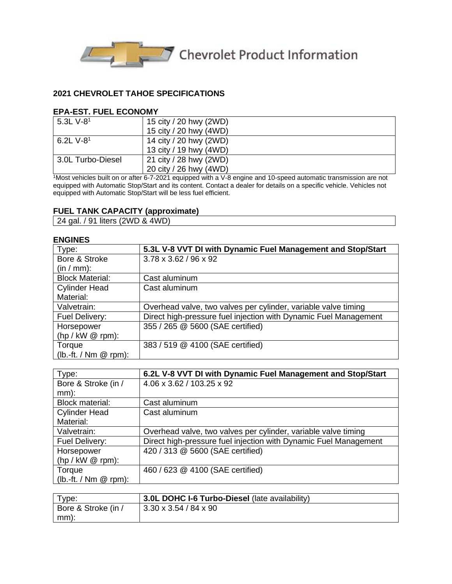

#### **2021 CHEVROLET TAHOE SPECIFICATIONS**

#### **EPA-EST. FUEL ECONOMY**

| 5.3L $V-8^1$      | 15 city / 20 hwy (2WD) |
|-------------------|------------------------|
|                   | 15 city / 20 hwy (4WD) |
| 6.2L $V-8^1$      | 14 city / 20 hwy (2WD) |
|                   | 13 city / 19 hwy (4WD) |
| 3.0L Turbo-Diesel | 21 city / 28 hwy (2WD) |
|                   | 20 city / 26 hwy (4WD) |

 $1$ Most vehicles built on or after 6-7-2021 equipped with a V-8 engine and 10-speed automatic transmission are not equipped with Automatic Stop/Start and its content. Contact a dealer for details on a specific vehicle. Vehicles not equipped with Automatic Stop/Start will be less fuel efficient.

#### **FUEL TANK CAPACITY (approximate)**

24 gal. / 91 liters (2WD & 4WD)

#### **ENGINES**

| -------                  |                                                                  |
|--------------------------|------------------------------------------------------------------|
| Type:                    | 5.3L V-8 VVT DI with Dynamic Fuel Management and Stop/Start      |
| Bore & Stroke            | 3.78 x 3.62 / 96 x 92                                            |
| $(in / mm)$ :            |                                                                  |
| <b>Block Material:</b>   | Cast aluminum                                                    |
| <b>Cylinder Head</b>     | Cast aluminum                                                    |
| Material:                |                                                                  |
| Valvetrain:              | Overhead valve, two valves per cylinder, variable valve timing   |
| Fuel Delivery:           | Direct high-pressure fuel injection with Dynamic Fuel Management |
| Horsepower               | 355 / 265 @ 5600 (SAE certified)                                 |
| $(hp / kW @ rpm)$ :      |                                                                  |
| Torque                   | 383 / 519 @ 4100 (SAE certified)                                 |
| $(lb.-ft. / Nm \& rpm).$ |                                                                  |

| Type:                    | 6.2L V-8 VVT DI with Dynamic Fuel Management and Stop/Start      |
|--------------------------|------------------------------------------------------------------|
| Bore & Stroke (in /      | 4.06 x 3.62 / 103.25 x 92                                        |
| $mm)$ :                  |                                                                  |
| <b>Block material:</b>   | Cast aluminum                                                    |
| <b>Cylinder Head</b>     | Cast aluminum                                                    |
| Material:                |                                                                  |
| Valvetrain:              | Overhead valve, two valves per cylinder, variable valve timing   |
| Fuel Delivery:           | Direct high-pressure fuel injection with Dynamic Fuel Management |
| Horsepower               | 420 / 313 @ 5600 (SAE certified)                                 |
| $(hp / kW @ rpm)$ :      |                                                                  |
| Torque                   | 460 / 623 @ 4100 (SAE certified)                                 |
| $(lb.-ft. / Nm \& rpm).$ |                                                                  |

| Type:               | 3.0L DOHC I-6 Turbo-Diesel (late availability) |
|---------------------|------------------------------------------------|
| Bore & Stroke (in / | $13.30 \times 3.54 / 84 \times 90$             |
| $\mid$ mm):         |                                                |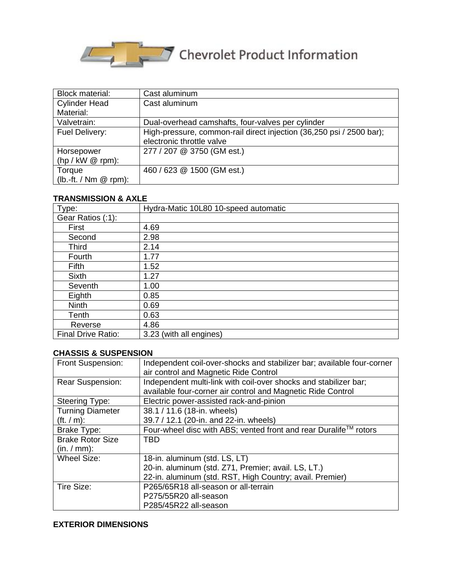

| <b>Block material:</b>   | Cast aluminum                                                        |
|--------------------------|----------------------------------------------------------------------|
| <b>Cylinder Head</b>     | Cast aluminum                                                        |
| Material:                |                                                                      |
| Valvetrain:              | Dual-overhead camshafts, four-valves per cylinder                    |
| Fuel Delivery:           | High-pressure, common-rail direct injection (36,250 psi / 2500 bar); |
|                          | electronic throttle valve                                            |
| Horsepower               | 277 / 207 @ 3750 (GM est.)                                           |
| $(hp / kW @ rpm)$ :      |                                                                      |
| Torque                   | 460 / 623 @ 1500 (GM est.)                                           |
| $(lb.-ft. / Nm \& rpm).$ |                                                                      |

## **TRANSMISSION & AXLE**

| Type:                     | Hydra-Matic 10L80 10-speed automatic |
|---------------------------|--------------------------------------|
| Gear Ratios (:1):         |                                      |
| First                     | 4.69                                 |
| Second                    | 2.98                                 |
| <b>Third</b>              | 2.14                                 |
| Fourth                    | 1.77                                 |
| Fifth                     | 1.52                                 |
| <b>Sixth</b>              | 1.27                                 |
| Seventh                   | 1.00                                 |
| Eighth                    | 0.85                                 |
| <b>Ninth</b>              | 0.69                                 |
| Tenth                     | 0.63                                 |
| Reverse                   | 4.86                                 |
| <b>Final Drive Ratio:</b> | 3.23 (with all engines)              |

# **CHASSIS & SUSPENSION**

| Front Suspension:         | Independent coil-over-shocks and stabilizer bar; available four-corner |
|---------------------------|------------------------------------------------------------------------|
|                           | air control and Magnetic Ride Control                                  |
| <b>Rear Suspension:</b>   | Independent multi-link with coil-over shocks and stabilizer bar;       |
|                           | available four-corner air control and Magnetic Ride Control            |
| Steering Type:            | Electric power-assisted rack-and-pinion                                |
| <b>Turning Diameter</b>   | 38.1 / 11.6 (18-in. wheels)                                            |
| $({\rm ft.} / {\rm m})$ : | 39.7 / 12.1 (20-in. and 22-in. wheels)                                 |
| Brake Type:               | Four-wheel disc with ABS; vented front and rear Duralife™ rotors       |
| <b>Brake Rotor Size</b>   | <b>TRD</b>                                                             |
| (in. / mm):               |                                                                        |
| <b>Wheel Size:</b>        | 18-in. aluminum (std. LS, LT)                                          |
|                           | 20-in. aluminum (std. Z71, Premier; avail. LS, LT.)                    |
|                           | 22-in. aluminum (std. RST, High Country; avail. Premier)               |
| Tire Size:                | P265/65R18 all-season or all-terrain                                   |
|                           | P275/55R20 all-season                                                  |
|                           | P285/45R22 all-season                                                  |

#### **EXTERIOR DIMENSIONS**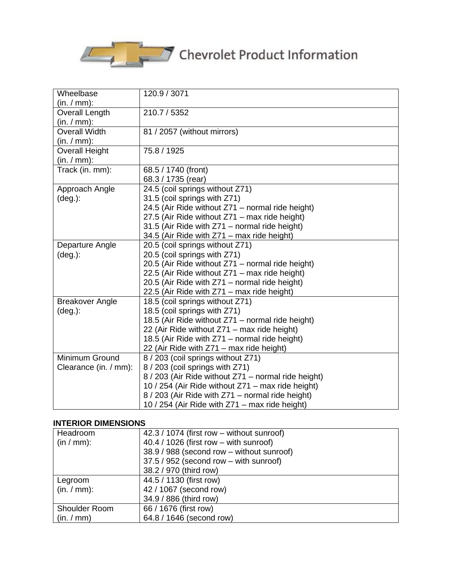

| Wheelbase              | 120.9 / 3071                                        |
|------------------------|-----------------------------------------------------|
| (in. / mm):            |                                                     |
| Overall Length         | 210.7 / 5352                                        |
| (in. / mm):            |                                                     |
| <b>Overall Width</b>   | 81 / 2057 (without mirrors)                         |
| (in. / mm):            |                                                     |
| <b>Overall Height</b>  | 75.8 / 1925                                         |
| (in. / mm):            |                                                     |
| Track (in. mm):        | 68.5 / 1740 (front)                                 |
|                        | 68.3 / 1735 (rear)                                  |
| Approach Angle         | 24.5 (coil springs without Z71)                     |
| $(\text{deg.})$ :      | 31.5 (coil springs with Z71)                        |
|                        | 24.5 (Air Ride without Z71 - normal ride height)    |
|                        | 27.5 (Air Ride without Z71 - max ride height)       |
|                        | 31.5 (Air Ride with Z71 - normal ride height)       |
|                        | 34.5 (Air Ride with Z71 - max ride height)          |
| Departure Angle        | 20.5 (coil springs without Z71)                     |
| $(\text{deg.})$ :      | 20.5 (coil springs with Z71)                        |
|                        | 20.5 (Air Ride without Z71 - normal ride height)    |
|                        | 22.5 (Air Ride without Z71 - max ride height)       |
|                        | 20.5 (Air Ride with Z71 - normal ride height)       |
|                        | 22.5 (Air Ride with Z71 – max ride height)          |
| <b>Breakover Angle</b> | 18.5 (coil springs without Z71)                     |
| $(\text{deg.})$ :      | 18.5 (coil springs with Z71)                        |
|                        | 18.5 (Air Ride without Z71 - normal ride height)    |
|                        | 22 (Air Ride without Z71 - max ride height)         |
|                        | 18.5 (Air Ride with Z71 - normal ride height)       |
|                        | 22 (Air Ride with Z71 - max ride height)            |
| Minimum Ground         | 8 / 203 (coil springs without Z71)                  |
| Clearance (in. / mm):  | 8 / 203 (coil springs with Z71)                     |
|                        | 8 / 203 (Air Ride without Z71 - normal ride height) |
|                        | 10 / 254 (Air Ride without Z71 - max ride height)   |
|                        | 8 / 203 (Air Ride with Z71 - normal ride height)    |
|                        | 10 / 254 (Air Ride with Z71 - max ride height)      |

## **INTERIOR DIMENSIONS**

| Headroom      | 42.3 / 1074 (first row - without sunroof) |
|---------------|-------------------------------------------|
|               |                                           |
| $(in / mm)$ : | $40.4 / 1026$ (first row – with sunroof)  |
|               | 38.9 / 988 (second row - without sunroof) |
|               | 37.5 / 952 (second row - with sunroof)    |
|               | 38.2 / 970 (third row)                    |
| Legroom       | 44.5 / 1130 (first row)                   |
| (in. / mm):   | 42 / 1067 (second row)                    |
|               | 34.9 / 886 (third row)                    |
| Shoulder Room | 66 / 1676 (first row)                     |
| (in./mm)      | 64.8 / 1646 (second row)                  |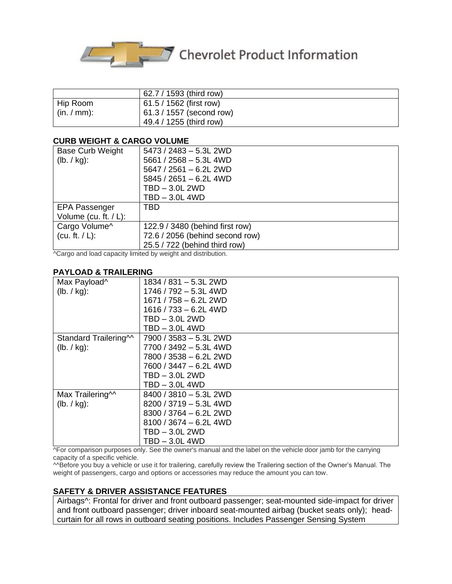

# Chevrolet Product Information

|             | 62.7 / 1593 (third row)  |
|-------------|--------------------------|
| Hip Room    | 61.5 / 1562 (first row)  |
| (in. / mm): | 61.3 / 1557 (second row) |
|             | 49.4 / 1255 (third row)  |

#### **CURB WEIGHT & CARGO VOLUME**

| <b>Base Curb Weight</b><br>(lb. / kg): | 5473 / 2483 - 5.3L 2WD<br>$5661 / 2568 - 5.3L$ 4WD<br>5647 / 2561 - 6.2L 2WD |
|----------------------------------------|------------------------------------------------------------------------------|
|                                        | $5845 / 2651 - 6.2L$ 4WD                                                     |
|                                        | TBD - 3.0L 2WD                                                               |
|                                        | TBD - 3.0L 4WD                                                               |
| <b>EPA Passenger</b>                   | TBD                                                                          |
| Volume (cu. ft. $/ L$ ):               |                                                                              |
| Cargo Volume^                          | 122.9 / 3480 (behind first row)                                              |
| (cu. ft. $/L$ ):                       | 72.6 / 2056 (behind second row)                                              |
|                                        | 25.5 / 722 (behind third row)                                                |

^Cargo and load capacity limited by weight and distribution.

#### **PAYLOAD & TRAILERING**

| Max Payload^                      | 1834 / 831 - 5.3L 2WD     |
|-----------------------------------|---------------------------|
| (lb. / kg):                       | 1746 / 792 - 5.3L 4WD     |
|                                   | 1671 / 758 - 6.2L 2WD     |
|                                   | $1616 / 733 - 6.2L$ 4WD   |
|                                   | TBD - 3.0L 2WD            |
|                                   | $TBD - 3.0L$ 4WD          |
| Standard Trailering <sup>11</sup> | 7900 / 3583 - 5.3L 2WD    |
| (lb. / kg):                       | 7700 / 3492 - 5.3L 4WD    |
|                                   | 7800 / 3538 - 6.2L 2WD    |
|                                   | 7600 / 3447 - 6.2L 4WD    |
|                                   | $TBD - 3.0L 2WD$          |
|                                   | $TBD - 3.0L$ 4WD          |
| Max Trailering <sup>11</sup>      | $8400 / 3810 - 5.3L 2WD$  |
| (lb. / kg):                       | 8200 / 3719 - 5.3L 4WD    |
|                                   | $8300 / 3764 - 6.2$ L 2WD |
|                                   | $8100 / 3674 - 6.2$ L 4WD |
|                                   | TBD – 3.0L 2WD            |
|                                   | TBD – 3.0L 4WD            |

^For comparison purposes only. See the owner's manual and the label on the vehicle door jamb for the carrying capacity of a specific vehicle.

^^Before you buy a vehicle or use it for trailering, carefully review the Trailering section of the Owner's Manual. The weight of passengers, cargo and options or accessories may reduce the amount you can tow.

#### **SAFETY & DRIVER ASSISTANCE FEATURES**

Airbags^: Frontal for driver and front outboard passenger; seat-mounted side-impact for driver and front outboard passenger; driver inboard seat-mounted airbag (bucket seats only); headcurtain for all rows in outboard seating positions. Includes Passenger Sensing System